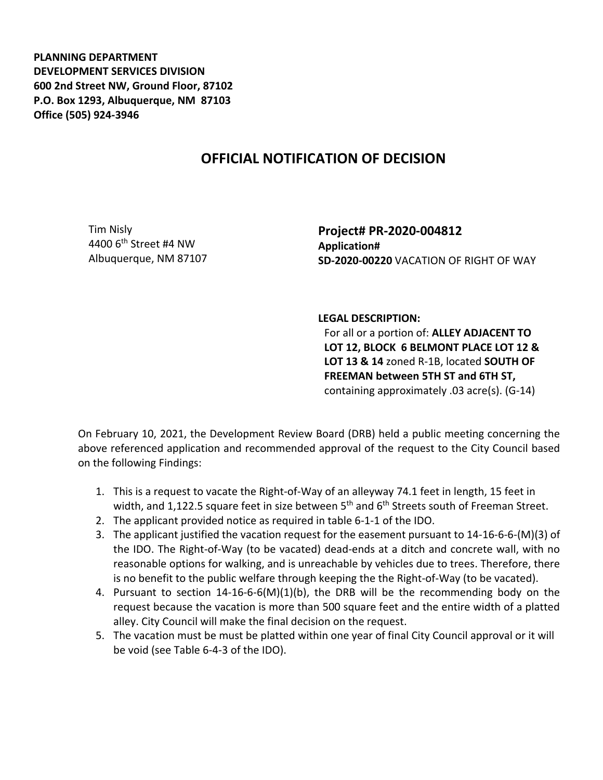**PLANNING DEPARTMENT DEVELOPMENT SERVICES DIVISION 600 2nd Street NW, Ground Floor, 87102 P.O. Box 1293, Albuquerque, NM 87103 Office (505) 924-3946** 

## **OFFICIAL NOTIFICATION OF DECISION**

Tim Nisly 4400 6th Street #4 NW Albuquerque, NM 87107 **Project# PR-2020-004812 Application# SD-2020-00220** VACATION OF RIGHT OF WAY

## **LEGAL DESCRIPTION:**

For all or a portion of: **ALLEY ADJACENT TO LOT 12, BLOCK 6 BELMONT PLACE LOT 12 & LOT 13 & 14** zoned R-1B, located **SOUTH OF FREEMAN between 5TH ST and 6TH ST,**  containing approximately .03 acre(s). (G-14)

On February 10, 2021, the Development Review Board (DRB) held a public meeting concerning the above referenced application and recommended approval of the request to the City Council based on the following Findings:

- 1. This is a request to vacate the Right-of-Way of an alleyway 74.1 feet in length, 15 feet in width, and 1,122.5 square feet in size between 5<sup>th</sup> and 6<sup>th</sup> Streets south of Freeman Street.
- 2. The applicant provided notice as required in table 6-1-1 of the IDO.
- 3. The applicant justified the vacation request for the easement pursuant to 14-16-6-6-(M)(3) of the IDO. The Right-of-Way (to be vacated) dead-ends at a ditch and concrete wall, with no reasonable options for walking, and is unreachable by vehicles due to trees. Therefore, there is no benefit to the public welfare through keeping the the Right-of-Way (to be vacated).
- 4. Pursuant to section 14-16-6-6(M)(1)(b), the DRB will be the recommending body on the request because the vacation is more than 500 square feet and the entire width of a platted alley. City Council will make the final decision on the request.
- 5. The vacation must be must be platted within one year of final City Council approval or it will be void (see Table 6-4-3 of the IDO).